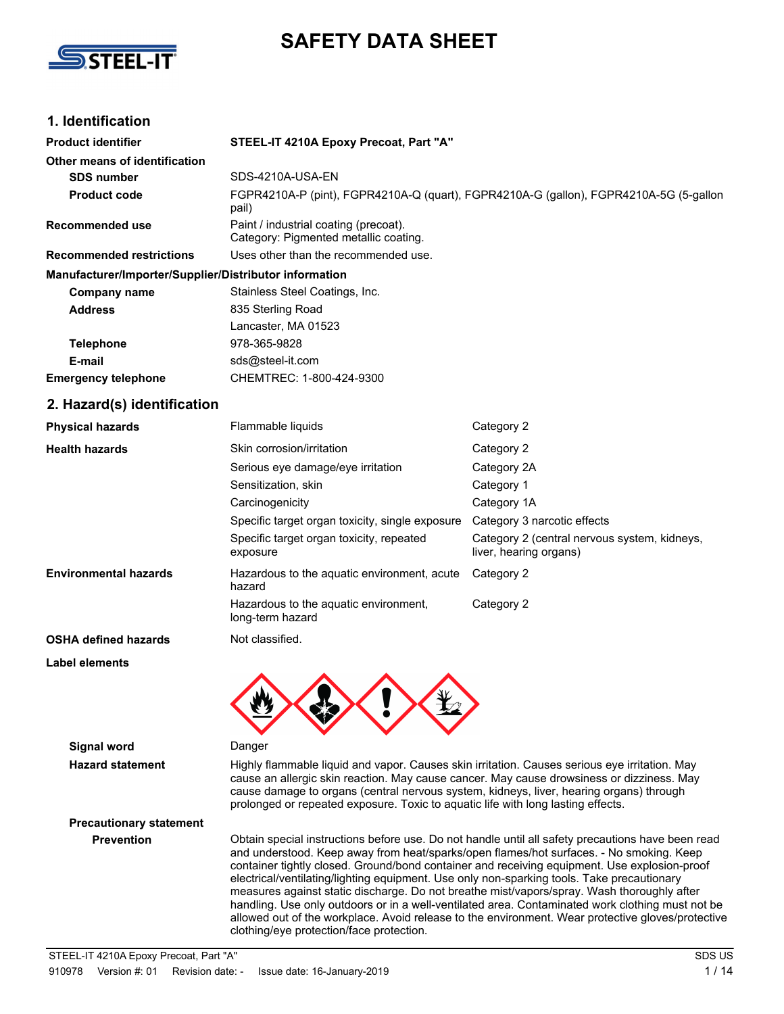

## **SAFETY DATA SHEET**

## **1. Identification**

| <b>Product identifier</b>                              | STEEL-IT 4210A Epoxy Precoat, Part "A"                                                         |                                                                        |  |
|--------------------------------------------------------|------------------------------------------------------------------------------------------------|------------------------------------------------------------------------|--|
| Other means of identification                          |                                                                                                |                                                                        |  |
| <b>SDS number</b>                                      | SDS-4210A-USA-EN                                                                               |                                                                        |  |
| <b>Product code</b>                                    | FGPR4210A-P (pint), FGPR4210A-Q (quart), FGPR4210A-G (gallon), FGPR4210A-5G (5-gallon<br>pail) |                                                                        |  |
| <b>Recommended use</b>                                 | Paint / industrial coating (precoat).<br>Category: Pigmented metallic coating.                 |                                                                        |  |
| <b>Recommended restrictions</b>                        | Uses other than the recommended use.                                                           |                                                                        |  |
| Manufacturer/Importer/Supplier/Distributor information |                                                                                                |                                                                        |  |
| <b>Company name</b>                                    | Stainless Steel Coatings, Inc.                                                                 |                                                                        |  |
| <b>Address</b>                                         | 835 Sterling Road                                                                              |                                                                        |  |
|                                                        | Lancaster, MA 01523                                                                            |                                                                        |  |
| <b>Telephone</b>                                       | 978-365-9828                                                                                   |                                                                        |  |
| E-mail                                                 | sds@steel-it.com                                                                               |                                                                        |  |
| <b>Emergency telephone</b>                             | CHEMTREC: 1-800-424-9300                                                                       |                                                                        |  |
| 2. Hazard(s) identification                            |                                                                                                |                                                                        |  |
| <b>Physical hazards</b>                                | Flammable liquids                                                                              | Category 2                                                             |  |
| <b>Health hazards</b>                                  | Skin corrosion/irritation                                                                      | Category 2                                                             |  |
|                                                        | Serious eye damage/eye irritation                                                              | Category 2A                                                            |  |
|                                                        | Sensitization, skin                                                                            | Category 1                                                             |  |
|                                                        | Carcinogenicity                                                                                | Category 1A                                                            |  |
|                                                        | Specific target organ toxicity, single exposure                                                | Category 3 narcotic effects                                            |  |
|                                                        | Specific target organ toxicity, repeated<br>exposure                                           | Category 2 (central nervous system, kidneys,<br>liver, hearing organs) |  |
| <b>Environmental hazards</b>                           | Hazardous to the aquatic environment, acute<br>hazard                                          | Category 2                                                             |  |
|                                                        | Hazardous to the aquatic environment,<br>long-term hazard                                      | Category 2                                                             |  |
| <b>OSHA defined hazards</b>                            | Not classified.                                                                                |                                                                        |  |
| Label elements                                         |                                                                                                |                                                                        |  |
|                                                        |                                                                                                |                                                                        |  |
|                                                        |                                                                                                |                                                                        |  |
|                                                        |                                                                                                |                                                                        |  |

**Signal word** Danger

**Hazard statement** Highly flammable liquid and vapor. Causes skin irritation. Causes serious eye irritation. May cause an allergic skin reaction. May cause cancer. May cause drowsiness or dizziness. May cause damage to organs (central nervous system, kidneys, liver, hearing organs) through prolonged or repeated exposure. Toxic to aquatic life with long lasting effects.

# **Precautionary statement**

**Prevention** Obtain special instructions before use. Do not handle until all safety precautions have been read and understood. Keep away from heat/sparks/open flames/hot surfaces. - No smoking. Keep container tightly closed. Ground/bond container and receiving equipment. Use explosion-proof electrical/ventilating/lighting equipment. Use only non-sparking tools. Take precautionary measures against static discharge. Do not breathe mist/vapors/spray. Wash thoroughly after handling. Use only outdoors or in a well-ventilated area. Contaminated work clothing must not be allowed out of the workplace. Avoid release to the environment. Wear protective gloves/protective clothing/eye protection/face protection.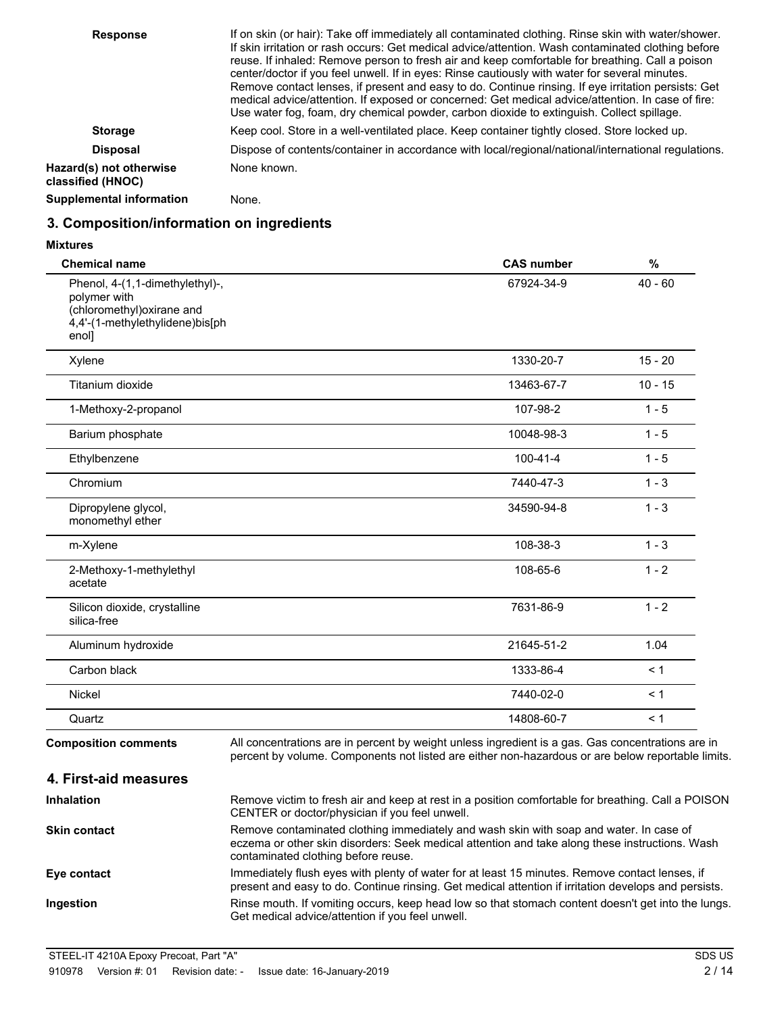| <b>Response</b>                              | If on skin (or hair): Take off immediately all contaminated clothing. Rinse skin with water/shower.<br>If skin irritation or rash occurs: Get medical advice/attention. Wash contaminated clothing before<br>reuse. If inhaled: Remove person to fresh air and keep comfortable for breathing. Call a poison<br>center/doctor if you feel unwell. If in eyes: Rinse cautiously with water for several minutes.<br>Remove contact lenses, if present and easy to do. Continue rinsing. If eye irritation persists: Get<br>medical advice/attention. If exposed or concerned: Get medical advice/attention. In case of fire:<br>Use water fog, foam, dry chemical powder, carbon dioxide to extinguish. Collect spillage. |
|----------------------------------------------|-------------------------------------------------------------------------------------------------------------------------------------------------------------------------------------------------------------------------------------------------------------------------------------------------------------------------------------------------------------------------------------------------------------------------------------------------------------------------------------------------------------------------------------------------------------------------------------------------------------------------------------------------------------------------------------------------------------------------|
| <b>Storage</b>                               | Keep cool. Store in a well-ventilated place. Keep container tightly closed. Store locked up.                                                                                                                                                                                                                                                                                                                                                                                                                                                                                                                                                                                                                            |
| <b>Disposal</b>                              | Dispose of contents/container in accordance with local/regional/national/international regulations.                                                                                                                                                                                                                                                                                                                                                                                                                                                                                                                                                                                                                     |
| Hazard(s) not otherwise<br>classified (HNOC) | None known.                                                                                                                                                                                                                                                                                                                                                                                                                                                                                                                                                                                                                                                                                                             |
| <b>Supplemental information</b>              | None.                                                                                                                                                                                                                                                                                                                                                                                                                                                                                                                                                                                                                                                                                                                   |

## **3. Composition/information on ingredients**

| <b>Chemical name</b>                                                                                                      | <b>CAS number</b>                                                                                 | %         |
|---------------------------------------------------------------------------------------------------------------------------|---------------------------------------------------------------------------------------------------|-----------|
| Phenol, 4-(1,1-dimethylethyl)-,<br>polymer with<br>(chloromethyl) oxirane and<br>4,4'-(1-methylethylidene)bis[ph<br>enol] | 67924-34-9                                                                                        | $40 - 60$ |
| Xylene                                                                                                                    | 1330-20-7                                                                                         | $15 - 20$ |
| Titanium dioxide                                                                                                          | 13463-67-7                                                                                        | $10 - 15$ |
| 1-Methoxy-2-propanol                                                                                                      | 107-98-2                                                                                          | $1 - 5$   |
| Barium phosphate                                                                                                          | 10048-98-3                                                                                        | $1 - 5$   |
| Ethylbenzene                                                                                                              | $100 - 41 - 4$                                                                                    | $1 - 5$   |
| Chromium                                                                                                                  | 7440-47-3                                                                                         | $1 - 3$   |
| Dipropylene glycol,<br>monomethyl ether                                                                                   | 34590-94-8                                                                                        | $1 - 3$   |
| m-Xylene                                                                                                                  | 108-38-3                                                                                          | $1 - 3$   |
| 2-Methoxy-1-methylethyl<br>acetate                                                                                        | 108-65-6                                                                                          | $1 - 2$   |
| Silicon dioxide, crystalline<br>silica-free                                                                               | 7631-86-9                                                                                         | $1 - 2$   |
| Aluminum hydroxide                                                                                                        | 21645-51-2                                                                                        | 1.04      |
| Carbon black                                                                                                              | 1333-86-4                                                                                         | < 1       |
| Nickel                                                                                                                    | 7440-02-0                                                                                         | < 1       |
| Quartz                                                                                                                    | 14808-60-7                                                                                        | < 1       |
| <b>Composition comments</b>                                                                                               | All concentrations are in percent by weight unless ingredient is a gas. Gas concentrations are in |           |

percent by volume. Components not listed are either non-hazardous or are below reportable limits.

Remove victim to fresh air and keep at rest in a position comfortable for breathing. Call a POISON

CENTER or doctor/physician if you feel unwell. Remove contaminated clothing immediately and wash skin with soap and water. In case of eczema or other skin disorders: Seek medical attention and take along these instructions. Wash contaminated clothing before reuse. **Skin contact** Immediately flush eyes with plenty of water for at least 15 minutes. Remove contact lenses, if present and easy to do. Continue rinsing. Get medical attention if irritation develops and persists. **Eye contact** Rinse mouth. If vomiting occurs, keep head low so that stomach content doesn't get into the lungs. Get medical advice/attention if you feel unwell. **Ingestion**

**4. First-aid measures**

**Inhalation**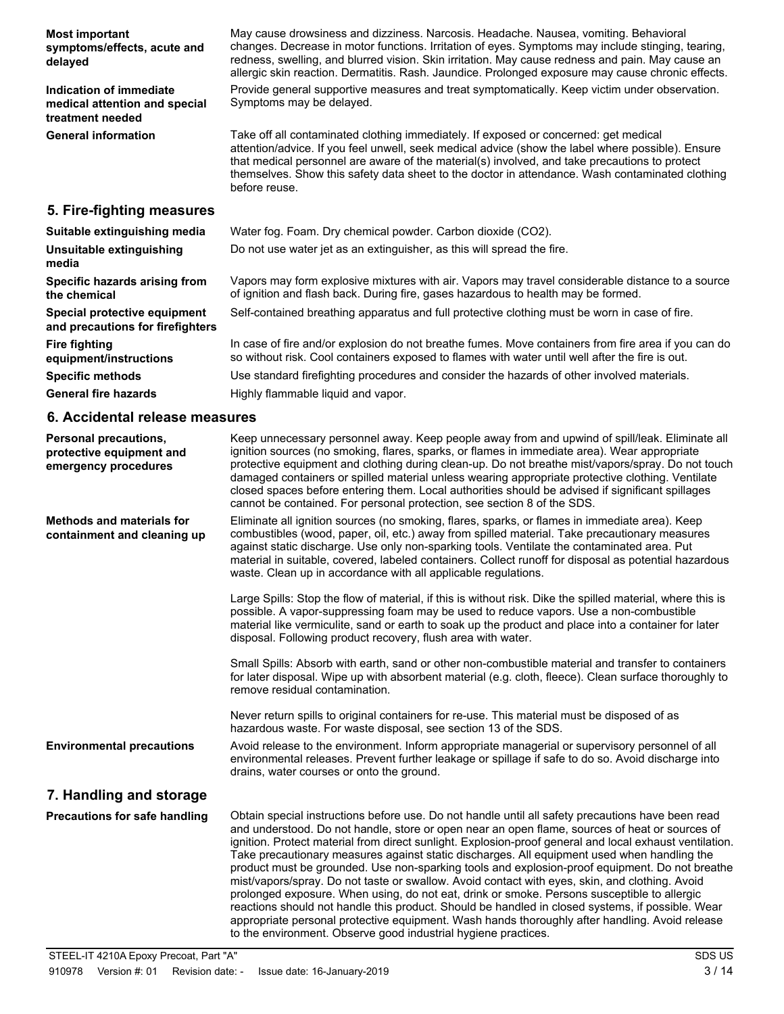| <b>Most important</b><br>symptoms/effects, acute and<br>delayed              | May cause drowsiness and dizziness. Narcosis. Headache. Nausea, vomiting. Behavioral<br>changes. Decrease in motor functions. Irritation of eyes. Symptoms may include stinging, tearing,<br>redness, swelling, and blurred vision. Skin irritation. May cause redness and pain. May cause an<br>allergic skin reaction. Dermatitis. Rash. Jaundice. Prolonged exposure may cause chronic effects.             |
|------------------------------------------------------------------------------|----------------------------------------------------------------------------------------------------------------------------------------------------------------------------------------------------------------------------------------------------------------------------------------------------------------------------------------------------------------------------------------------------------------|
| Indication of immediate<br>medical attention and special<br>treatment needed | Provide general supportive measures and treat symptomatically. Keep victim under observation.<br>Symptoms may be delayed.                                                                                                                                                                                                                                                                                      |
| <b>General information</b>                                                   | Take off all contaminated clothing immediately. If exposed or concerned: get medical<br>attention/advice. If you feel unwell, seek medical advice (show the label where possible). Ensure<br>that medical personnel are aware of the material(s) involved, and take precautions to protect<br>themselves. Show this safety data sheet to the doctor in attendance. Wash contaminated clothing<br>before reuse. |
| 5. Fire-fighting measures                                                    |                                                                                                                                                                                                                                                                                                                                                                                                                |
| Suitable extinguishing media                                                 | Water fog. Foam. Dry chemical powder. Carbon dioxide (CO2).                                                                                                                                                                                                                                                                                                                                                    |
| Unsuitable extinguishing<br>media                                            | Do not use water jet as an extinguisher, as this will spread the fire.                                                                                                                                                                                                                                                                                                                                         |
| Specific hazards arising from<br>the chemical                                | Vapors may form explosive mixtures with air. Vapors may travel considerable distance to a source<br>of ignition and flash back. During fire, gases hazardous to health may be formed.                                                                                                                                                                                                                          |
| Special protective equipment<br>and precautions for firefighters             | Self-contained breathing apparatus and full protective clothing must be worn in case of fire.                                                                                                                                                                                                                                                                                                                  |
| <b>Fire fighting</b><br>equipment/instructions                               | In case of fire and/or explosion do not breathe fumes. Move containers from fire area if you can do<br>so without risk. Cool containers exposed to flames with water until well after the fire is out.                                                                                                                                                                                                         |
| <b>Specific methods</b>                                                      | Use standard firefighting procedures and consider the hazards of other involved materials.                                                                                                                                                                                                                                                                                                                     |
| <b>General fire hazards</b>                                                  | Highly flammable liquid and vapor.                                                                                                                                                                                                                                                                                                                                                                             |
| 6. Accidental release measures                                               |                                                                                                                                                                                                                                                                                                                                                                                                                |
| <b>Personal precautions,</b>                                                 | Keep unnecessary personnel away. Keep people away from and upwind of spill/leak. Eliminate all<br>to attack a concern for a seculation. Annual consultation at Annual to them culture and a). INFL and annual state                                                                                                                                                                                            |

| Personal precautions,<br>protective equipment and<br>emergency procedures | Keep unnecessary personnel away. Keep people away from and upwind of spill/leak. Eliminate all<br>ignition sources (no smoking, flares, sparks, or flames in immediate area). Wear appropriate<br>protective equipment and clothing during clean-up. Do not breathe mist/vapors/spray. Do not touch<br>damaged containers or spilled material unless wearing appropriate protective clothing. Ventilate<br>closed spaces before entering them. Local authorities should be advised if significant spillages<br>cannot be contained. For personal protection, see section 8 of the SDS.                                                                                                                                                                                                                               |
|---------------------------------------------------------------------------|----------------------------------------------------------------------------------------------------------------------------------------------------------------------------------------------------------------------------------------------------------------------------------------------------------------------------------------------------------------------------------------------------------------------------------------------------------------------------------------------------------------------------------------------------------------------------------------------------------------------------------------------------------------------------------------------------------------------------------------------------------------------------------------------------------------------|
| <b>Methods and materials for</b><br>containment and cleaning up           | Eliminate all ignition sources (no smoking, flares, sparks, or flames in immediate area). Keep<br>combustibles (wood, paper, oil, etc.) away from spilled material. Take precautionary measures<br>against static discharge. Use only non-sparking tools. Ventilate the contaminated area. Put<br>material in suitable, covered, labeled containers. Collect runoff for disposal as potential hazardous<br>waste. Clean up in accordance with all applicable regulations.                                                                                                                                                                                                                                                                                                                                            |
|                                                                           | Large Spills: Stop the flow of material, if this is without risk. Dike the spilled material, where this is<br>possible. A vapor-suppressing foam may be used to reduce vapors. Use a non-combustible<br>material like vermiculite, sand or earth to soak up the product and place into a container for later<br>disposal. Following product recovery, flush area with water.                                                                                                                                                                                                                                                                                                                                                                                                                                         |
|                                                                           | Small Spills: Absorb with earth, sand or other non-combustible material and transfer to containers<br>for later disposal. Wipe up with absorbent material (e.g. cloth, fleece). Clean surface thoroughly to<br>remove residual contamination.                                                                                                                                                                                                                                                                                                                                                                                                                                                                                                                                                                        |
|                                                                           | Never return spills to original containers for re-use. This material must be disposed of as<br>hazardous waste. For waste disposal, see section 13 of the SDS.                                                                                                                                                                                                                                                                                                                                                                                                                                                                                                                                                                                                                                                       |
| <b>Environmental precautions</b>                                          | Avoid release to the environment. Inform appropriate managerial or supervisory personnel of all<br>environmental releases. Prevent further leakage or spillage if safe to do so. Avoid discharge into<br>drains, water courses or onto the ground.                                                                                                                                                                                                                                                                                                                                                                                                                                                                                                                                                                   |
| 7. Handling and storage                                                   |                                                                                                                                                                                                                                                                                                                                                                                                                                                                                                                                                                                                                                                                                                                                                                                                                      |
| <b>Precautions for safe handling</b>                                      | Obtain special instructions before use. Do not handle until all safety precautions have been read<br>and understood. Do not handle, store or open near an open flame, sources of heat or sources of<br>ignition. Protect material from direct sunlight. Explosion-proof general and local exhaust ventilation.<br>Take precautionary measures against static discharges. All equipment used when handling the<br>product must be grounded. Use non-sparking tools and explosion-proof equipment. Do not breathe<br>mist/vapors/spray. Do not taste or swallow. Avoid contact with eyes, skin, and clothing. Avoid<br>prolonged exposure. When using, do not eat, drink or smoke. Persons susceptible to allergic<br>reactions should not handle this product. Should be handled in closed systems, if possible. Wear |

to the environment. Observe good industrial hygiene practices.

appropriate personal protective equipment. Wash hands thoroughly after handling. Avoid release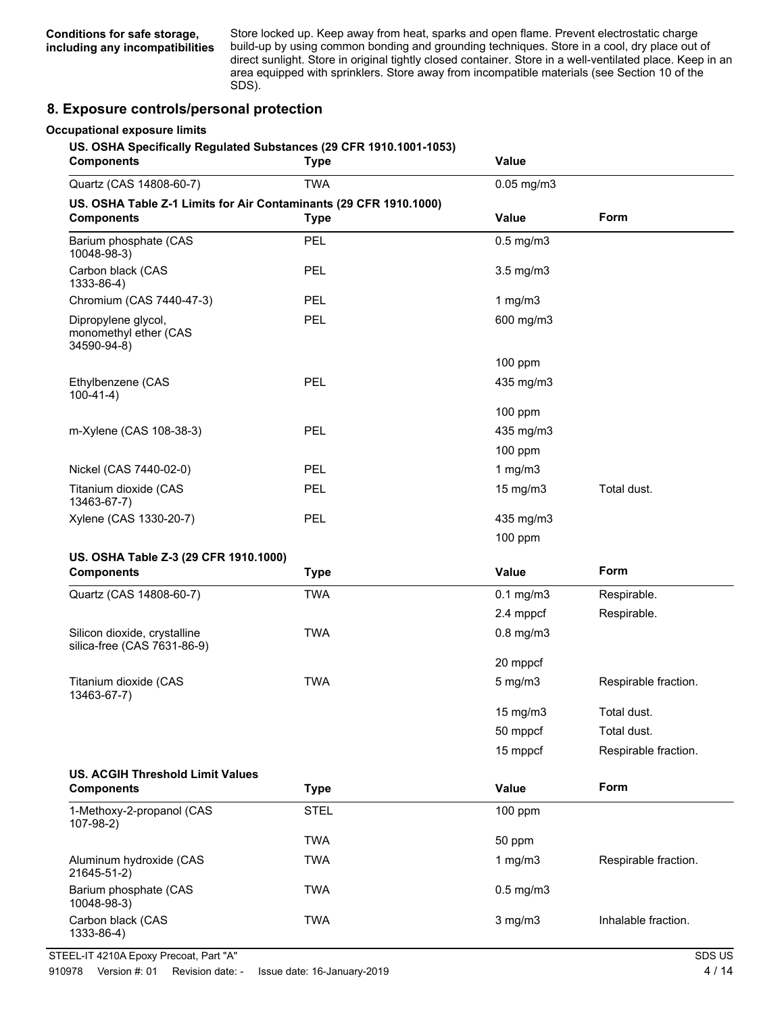Store locked up. Keep away from heat, sparks and open flame. Prevent electrostatic charge build-up by using common bonding and grounding techniques. Store in a cool, dry place out of direct sunlight. Store in original tightly closed container. Store in a well-ventilated place. Keep in an area equipped with sprinklers. Store away from incompatible materials (see Section 10 of the SDS).

### **8. Exposure controls/personal protection**

#### **Occupational exposure limits**

#### **US. OSHA Specifically Regulated Substances (29 CFR 1910.1001-1053)**

| <b>Components</b>                                                                      | <b>Type</b> | Value           |                      |
|----------------------------------------------------------------------------------------|-------------|-----------------|----------------------|
| <b>TWA</b><br>Quartz (CAS 14808-60-7)                                                  |             | $0.05$ mg/m $3$ |                      |
| US. OSHA Table Z-1 Limits for Air Contaminants (29 CFR 1910.1000)<br><b>Components</b> | <b>Type</b> | <b>Value</b>    | Form                 |
| Barium phosphate (CAS<br>10048-98-3)                                                   | <b>PEL</b>  | $0.5$ mg/m $3$  |                      |
| Carbon black (CAS<br>1333-86-4)                                                        | <b>PEL</b>  | 3.5 mg/m3       |                      |
| Chromium (CAS 7440-47-3)                                                               | <b>PEL</b>  | 1 $mg/m3$       |                      |
| Dipropylene glycol,<br>monomethyl ether (CAS<br>34590-94-8)                            | PEL         | 600 mg/m3       |                      |
|                                                                                        |             | 100 ppm         |                      |
| Ethylbenzene (CAS<br>$100-41-4)$                                                       | PEL         | 435 mg/m3       |                      |
|                                                                                        |             | $100$ ppm       |                      |
| m-Xylene (CAS 108-38-3)                                                                | <b>PEL</b>  | 435 mg/m3       |                      |
|                                                                                        |             | 100 ppm         |                      |
| Nickel (CAS 7440-02-0)                                                                 | <b>PEL</b>  | 1 $mg/m3$       |                      |
| Titanium dioxide (CAS<br>13463-67-7)                                                   | PEL         | 15 mg/m3        | Total dust.          |
| Xylene (CAS 1330-20-7)                                                                 | <b>PEL</b>  | 435 mg/m3       |                      |
|                                                                                        |             | 100 ppm         |                      |
| US. OSHA Table Z-3 (29 CFR 1910.1000)<br><b>Components</b>                             | <b>Type</b> | Value           | Form                 |
|                                                                                        | <b>TWA</b>  |                 |                      |
| Quartz (CAS 14808-60-7)                                                                |             | $0.1$ mg/m $3$  | Respirable.          |
|                                                                                        | <b>TWA</b>  | 2.4 mppcf       | Respirable.          |
| Silicon dioxide, crystalline<br>silica-free (CAS 7631-86-9)                            |             | $0.8$ mg/m $3$  |                      |
|                                                                                        |             | 20 mppcf        |                      |
| Titanium dioxide (CAS<br>13463-67-7)                                                   | <b>TWA</b>  | $5$ mg/m $3$    | Respirable fraction. |
|                                                                                        |             | $15$ mg/m $3$   | Total dust.          |
|                                                                                        |             | 50 mppcf        | Total dust.          |
|                                                                                        |             | 15 mppcf        | Respirable fraction. |
| <b>US. ACGIH Threshold Limit Values</b>                                                |             |                 |                      |
| <b>Components</b>                                                                      | <b>Type</b> | Value           | Form                 |
| 1-Methoxy-2-propanol (CAS<br>$107-98-2)$                                               | <b>STEL</b> | $100$ ppm       |                      |
|                                                                                        | <b>TWA</b>  | 50 ppm          |                      |
| Aluminum hydroxide (CAS<br>21645-51-2)                                                 | <b>TWA</b>  | 1 $mg/m3$       | Respirable fraction. |
| Barium phosphate (CAS<br>10048-98-3)                                                   | <b>TWA</b>  | $0.5$ mg/m $3$  |                      |
| Carbon black (CAS<br>1333-86-4)                                                        | <b>TWA</b>  | $3$ mg/m $3$    | Inhalable fraction.  |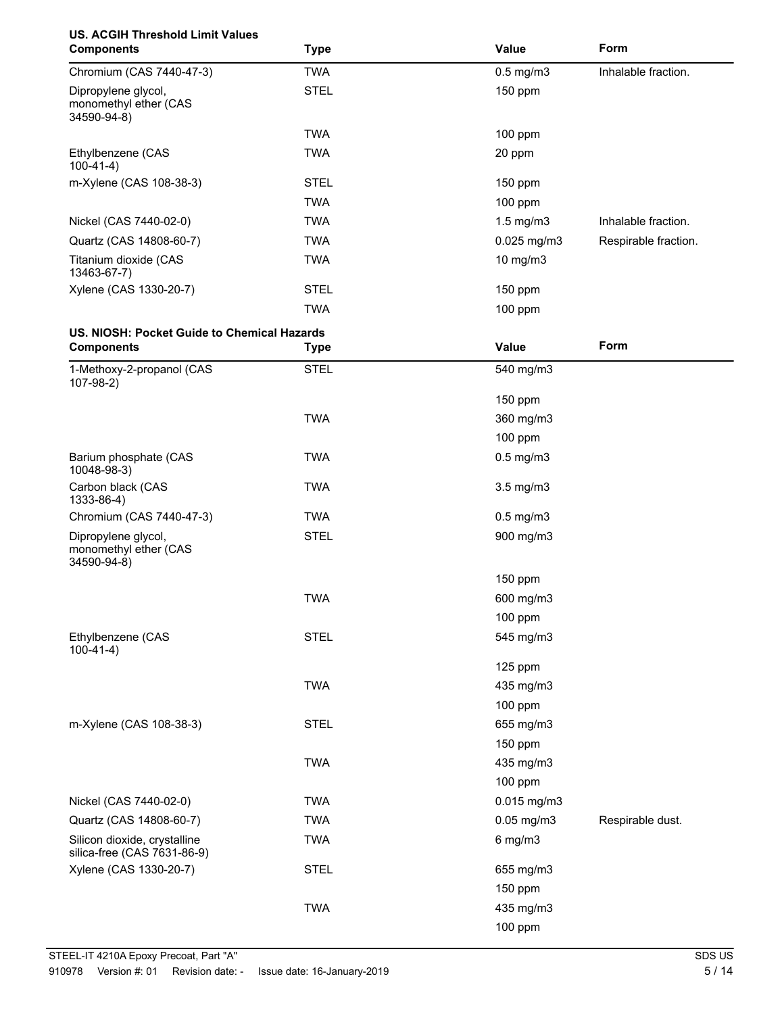| <b>US. ACGIH Threshold Limit Values</b><br><b>Components</b>     | <b>Type</b> | Value           | Form                 |
|------------------------------------------------------------------|-------------|-----------------|----------------------|
| Chromium (CAS 7440-47-3)                                         | <b>TWA</b>  | $0.5$ mg/m $3$  | Inhalable fraction.  |
| Dipropylene glycol,<br>monomethyl ether (CAS<br>34590-94-8)      | <b>STEL</b> | 150 ppm         |                      |
|                                                                  | <b>TWA</b>  | 100 ppm         |                      |
| Ethylbenzene (CAS<br>$100-41-4)$                                 | <b>TWA</b>  | 20 ppm          |                      |
| m-Xylene (CAS 108-38-3)                                          | <b>STEL</b> | 150 ppm         |                      |
|                                                                  | <b>TWA</b>  | 100 ppm         |                      |
| Nickel (CAS 7440-02-0)                                           | <b>TWA</b>  | $1.5$ mg/m $3$  | Inhalable fraction.  |
| Quartz (CAS 14808-60-7)                                          | <b>TWA</b>  | 0.025 mg/m3     | Respirable fraction. |
| Titanium dioxide (CAS<br>13463-67-7)                             | <b>TWA</b>  | 10 mg/m3        |                      |
| Xylene (CAS 1330-20-7)                                           | <b>STEL</b> | 150 ppm         |                      |
|                                                                  | <b>TWA</b>  | 100 ppm         |                      |
| US. NIOSH: Pocket Guide to Chemical Hazards<br><b>Components</b> |             | Value           | Form                 |
|                                                                  | <b>Type</b> |                 |                      |
| 1-Methoxy-2-propanol (CAS<br>$107-98-2)$                         | <b>STEL</b> | 540 mg/m3       |                      |
|                                                                  |             | 150 ppm         |                      |
|                                                                  | <b>TWA</b>  | 360 mg/m3       |                      |
|                                                                  |             | 100 ppm         |                      |
| Barium phosphate (CAS<br>10048-98-3)                             | <b>TWA</b>  | $0.5$ mg/m $3$  |                      |
| Carbon black (CAS<br>1333-86-4)                                  | <b>TWA</b>  | $3.5$ mg/m $3$  |                      |
| Chromium (CAS 7440-47-3)                                         | <b>TWA</b>  | $0.5$ mg/m $3$  |                      |
| Dipropylene glycol,<br>monomethyl ether (CAS<br>34590-94-8)      | <b>STEL</b> | 900 mg/m3       |                      |
|                                                                  |             | 150 ppm         |                      |
|                                                                  | <b>TWA</b>  | 600 mg/m3       |                      |
|                                                                  |             | 100 ppm         |                      |
| Ethylbenzene (CAS<br>$100-41-4)$                                 | <b>STEL</b> | 545 mg/m3       |                      |
|                                                                  |             | 125 ppm         |                      |
|                                                                  | <b>TWA</b>  | 435 mg/m3       |                      |
|                                                                  |             | 100 ppm         |                      |
| m-Xylene (CAS 108-38-3)                                          | <b>STEL</b> | 655 mg/m3       |                      |
|                                                                  |             | 150 ppm         |                      |
|                                                                  | <b>TWA</b>  | 435 mg/m3       |                      |
|                                                                  |             | 100 ppm         |                      |
| Nickel (CAS 7440-02-0)                                           | <b>TWA</b>  | 0.015 mg/m3     |                      |
| Quartz (CAS 14808-60-7)                                          | <b>TWA</b>  | $0.05$ mg/m $3$ | Respirable dust.     |
| Silicon dioxide, crystalline<br>silica-free (CAS 7631-86-9)      | <b>TWA</b>  | $6$ mg/m $3$    |                      |
| Xylene (CAS 1330-20-7)                                           | <b>STEL</b> | 655 mg/m3       |                      |
|                                                                  |             | 150 ppm         |                      |
|                                                                  | <b>TWA</b>  | 435 mg/m3       |                      |
|                                                                  |             | 100 ppm         |                      |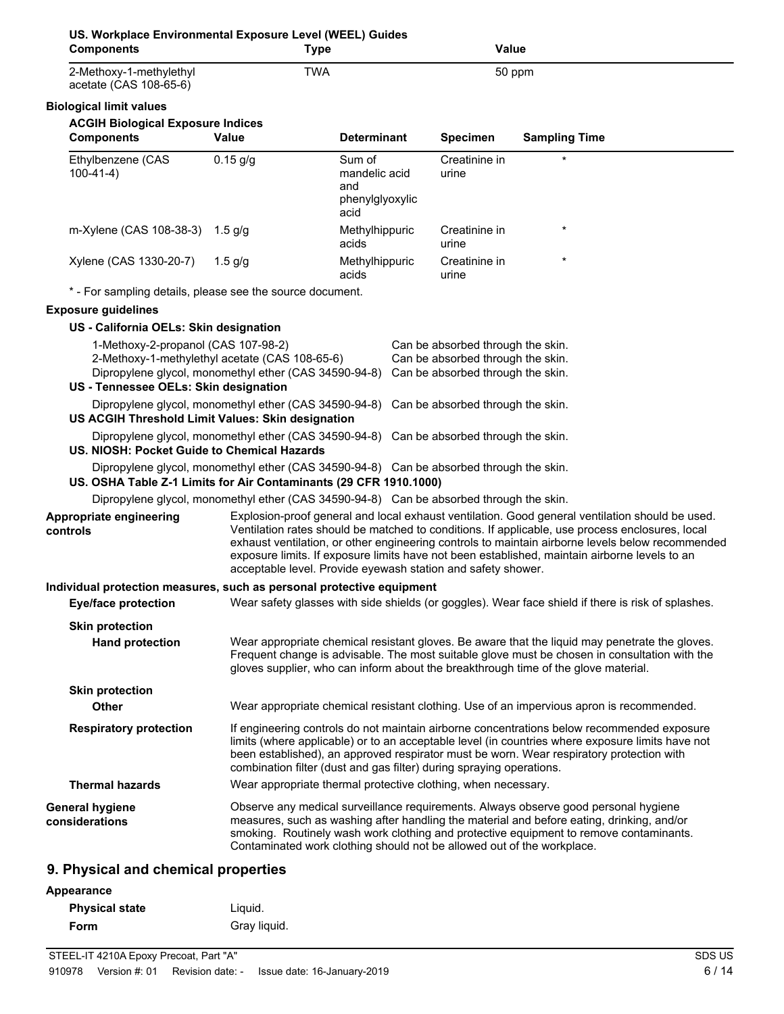| US. Workplace Environmental Exposure Level (WEEL) Guides<br><b>Components</b> | <b>Type</b>                                                                                             |                                                                                                                                                                                                                                                                                                                                                                    | <b>Value</b>                                                                                                |                                                                                                                                                                                                                                                                                                                                                                                                         |
|-------------------------------------------------------------------------------|---------------------------------------------------------------------------------------------------------|--------------------------------------------------------------------------------------------------------------------------------------------------------------------------------------------------------------------------------------------------------------------------------------------------------------------------------------------------------------------|-------------------------------------------------------------------------------------------------------------|---------------------------------------------------------------------------------------------------------------------------------------------------------------------------------------------------------------------------------------------------------------------------------------------------------------------------------------------------------------------------------------------------------|
| 2-Methoxy-1-methylethyl<br>acetate (CAS 108-65-6)                             | <b>TWA</b>                                                                                              |                                                                                                                                                                                                                                                                                                                                                                    | 50 ppm                                                                                                      |                                                                                                                                                                                                                                                                                                                                                                                                         |
| <b>Biological limit values</b>                                                |                                                                                                         |                                                                                                                                                                                                                                                                                                                                                                    |                                                                                                             |                                                                                                                                                                                                                                                                                                                                                                                                         |
| <b>ACGIH Biological Exposure Indices</b><br><b>Components</b>                 | Value                                                                                                   | <b>Determinant</b>                                                                                                                                                                                                                                                                                                                                                 | <b>Specimen</b>                                                                                             | <b>Sampling Time</b>                                                                                                                                                                                                                                                                                                                                                                                    |
| Ethylbenzene (CAS<br>$100-41-4)$                                              | $0.15$ g/g                                                                                              | Sum of<br>mandelic acid<br>and<br>phenylglyoxylic<br>acid                                                                                                                                                                                                                                                                                                          | Creatinine in<br>urine                                                                                      |                                                                                                                                                                                                                                                                                                                                                                                                         |
| m-Xylene (CAS 108-38-3) 1.5 g/g                                               |                                                                                                         | Methylhippuric<br>acids                                                                                                                                                                                                                                                                                                                                            | Creatinine in<br>urine                                                                                      |                                                                                                                                                                                                                                                                                                                                                                                                         |
| Xylene (CAS 1330-20-7)                                                        | $1.5$ g/g                                                                                               | Methylhippuric<br>acids                                                                                                                                                                                                                                                                                                                                            | Creatinine in<br>urine                                                                                      |                                                                                                                                                                                                                                                                                                                                                                                                         |
| * - For sampling details, please see the source document.                     |                                                                                                         |                                                                                                                                                                                                                                                                                                                                                                    |                                                                                                             |                                                                                                                                                                                                                                                                                                                                                                                                         |
| <b>Exposure guidelines</b>                                                    |                                                                                                         |                                                                                                                                                                                                                                                                                                                                                                    |                                                                                                             |                                                                                                                                                                                                                                                                                                                                                                                                         |
| US - California OELs: Skin designation                                        |                                                                                                         |                                                                                                                                                                                                                                                                                                                                                                    |                                                                                                             |                                                                                                                                                                                                                                                                                                                                                                                                         |
| 1-Methoxy-2-propanol (CAS 107-98-2)<br>US - Tennessee OELs: Skin designation  | 2-Methoxy-1-methylethyl acetate (CAS 108-65-6)<br>Dipropylene glycol, monomethyl ether (CAS 34590-94-8) |                                                                                                                                                                                                                                                                                                                                                                    | Can be absorbed through the skin.<br>Can be absorbed through the skin.<br>Can be absorbed through the skin. |                                                                                                                                                                                                                                                                                                                                                                                                         |
| US ACGIH Threshold Limit Values: Skin designation                             | Dipropylene glycol, monomethyl ether (CAS 34590-94-8) Can be absorbed through the skin.                 |                                                                                                                                                                                                                                                                                                                                                                    |                                                                                                             |                                                                                                                                                                                                                                                                                                                                                                                                         |
| US. NIOSH: Pocket Guide to Chemical Hazards                                   | Dipropylene glycol, monomethyl ether (CAS 34590-94-8) Can be absorbed through the skin.                 |                                                                                                                                                                                                                                                                                                                                                                    |                                                                                                             |                                                                                                                                                                                                                                                                                                                                                                                                         |
| US. OSHA Table Z-1 Limits for Air Contaminants (29 CFR 1910.1000)             | Dipropylene glycol, monomethyl ether (CAS 34590-94-8) Can be absorbed through the skin.                 |                                                                                                                                                                                                                                                                                                                                                                    |                                                                                                             |                                                                                                                                                                                                                                                                                                                                                                                                         |
|                                                                               | Dipropylene glycol, monomethyl ether (CAS 34590-94-8) Can be absorbed through the skin.                 |                                                                                                                                                                                                                                                                                                                                                                    |                                                                                                             |                                                                                                                                                                                                                                                                                                                                                                                                         |
| Appropriate engineering<br>controls                                           | acceptable level. Provide eyewash station and safety shower.                                            |                                                                                                                                                                                                                                                                                                                                                                    |                                                                                                             | Explosion-proof general and local exhaust ventilation. Good general ventilation should be used.<br>Ventilation rates should be matched to conditions. If applicable, use process enclosures, local<br>exhaust ventilation, or other engineering controls to maintain airborne levels below recommended<br>exposure limits. If exposure limits have not been established, maintain airborne levels to an |
| Individual protection measures, such as personal protective equipment         |                                                                                                         |                                                                                                                                                                                                                                                                                                                                                                    |                                                                                                             |                                                                                                                                                                                                                                                                                                                                                                                                         |
|                                                                               |                                                                                                         |                                                                                                                                                                                                                                                                                                                                                                    |                                                                                                             | Eye/face protection Wear safety glasses with side shields (or goggles). Wear face shield if there is risk of splashes.                                                                                                                                                                                                                                                                                  |
| <b>Skin protection</b><br><b>Hand protection</b>                              |                                                                                                         |                                                                                                                                                                                                                                                                                                                                                                    |                                                                                                             | Wear appropriate chemical resistant gloves. Be aware that the liquid may penetrate the gloves.<br>Frequent change is advisable. The most suitable glove must be chosen in consultation with the<br>gloves supplier, who can inform about the breakthrough time of the glove material.                                                                                                                   |
| <b>Skin protection</b>                                                        |                                                                                                         |                                                                                                                                                                                                                                                                                                                                                                    |                                                                                                             |                                                                                                                                                                                                                                                                                                                                                                                                         |
| Other                                                                         |                                                                                                         |                                                                                                                                                                                                                                                                                                                                                                    |                                                                                                             | Wear appropriate chemical resistant clothing. Use of an impervious apron is recommended.                                                                                                                                                                                                                                                                                                                |
| <b>Respiratory protection</b>                                                 |                                                                                                         | If engineering controls do not maintain airborne concentrations below recommended exposure<br>limits (where applicable) or to an acceptable level (in countries where exposure limits have not<br>been established), an approved respirator must be worn. Wear respiratory protection with<br>combination filter (dust and gas filter) during spraying operations. |                                                                                                             |                                                                                                                                                                                                                                                                                                                                                                                                         |
| <b>Thermal hazards</b>                                                        | Wear appropriate thermal protective clothing, when necessary.                                           |                                                                                                                                                                                                                                                                                                                                                                    |                                                                                                             |                                                                                                                                                                                                                                                                                                                                                                                                         |
| <b>General hygiene</b><br>considerations                                      | Contaminated work clothing should not be allowed out of the workplace.                                  |                                                                                                                                                                                                                                                                                                                                                                    |                                                                                                             | Observe any medical surveillance requirements. Always observe good personal hygiene<br>measures, such as washing after handling the material and before eating, drinking, and/or<br>smoking. Routinely wash work clothing and protective equipment to remove contaminants.                                                                                                                              |
| 9. Physical and chemical properties                                           |                                                                                                         |                                                                                                                                                                                                                                                                                                                                                                    |                                                                                                             |                                                                                                                                                                                                                                                                                                                                                                                                         |
| Appearance                                                                    |                                                                                                         |                                                                                                                                                                                                                                                                                                                                                                    |                                                                                                             |                                                                                                                                                                                                                                                                                                                                                                                                         |

| <b>Physical state</b> | Liguid.      |
|-----------------------|--------------|
| Form                  | Gray liquid. |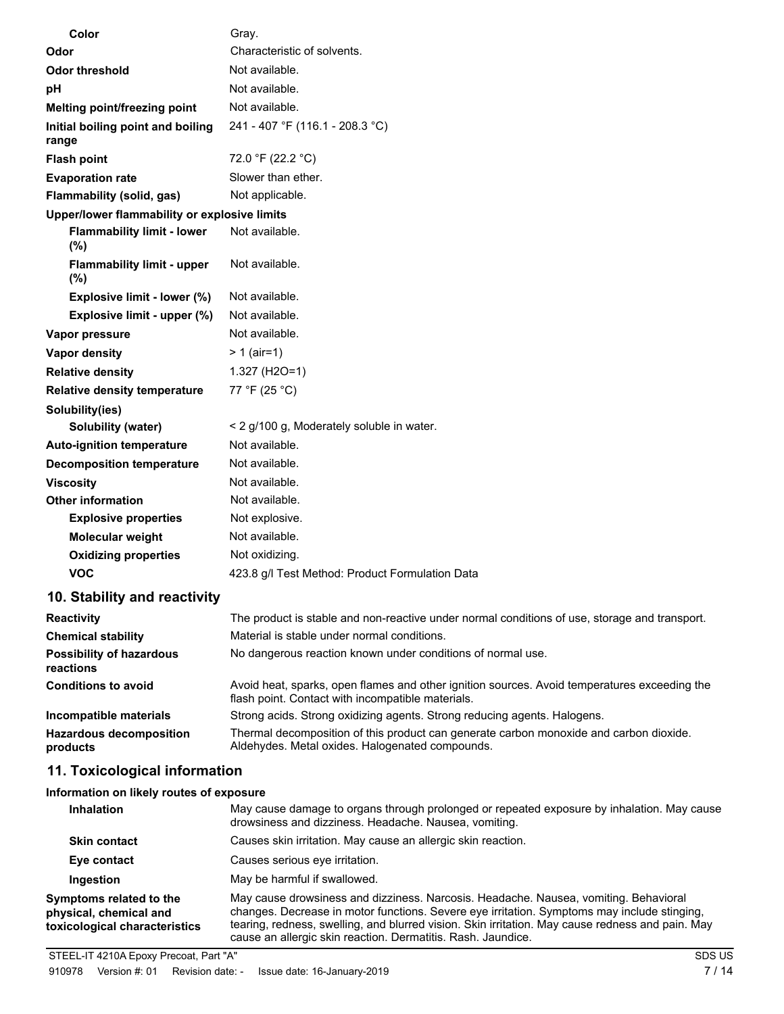| Color                                        | Gray.                                                                                                                                               |
|----------------------------------------------|-----------------------------------------------------------------------------------------------------------------------------------------------------|
| Odor                                         | Characteristic of solvents.                                                                                                                         |
| <b>Odor threshold</b>                        | Not available.                                                                                                                                      |
| рH                                           | Not available.                                                                                                                                      |
| Melting point/freezing point                 | Not available.                                                                                                                                      |
| Initial boiling point and boiling<br>range   | 241 - 407 °F (116.1 - 208.3 °C)                                                                                                                     |
| <b>Flash point</b>                           | 72.0 °F (22.2 °C)                                                                                                                                   |
| <b>Evaporation rate</b>                      | Slower than ether.                                                                                                                                  |
| Flammability (solid, gas)                    | Not applicable.                                                                                                                                     |
| Upper/lower flammability or explosive limits |                                                                                                                                                     |
| <b>Flammability limit - lower</b><br>$(\%)$  | Not available.                                                                                                                                      |
| <b>Flammability limit - upper</b><br>$(\%)$  | Not available.                                                                                                                                      |
| Explosive limit - lower (%)                  | Not available.                                                                                                                                      |
| Explosive limit - upper (%)                  | Not available.                                                                                                                                      |
| Vapor pressure                               | Not available.                                                                                                                                      |
| Vapor density                                | $> 1$ (air=1)                                                                                                                                       |
| <b>Relative density</b>                      | 1.327 (H2O=1)                                                                                                                                       |
| <b>Relative density temperature</b>          | 77 °F (25 °C)                                                                                                                                       |
| Solubility(ies)                              |                                                                                                                                                     |
| Solubility (water)                           | < 2 g/100 g, Moderately soluble in water.                                                                                                           |
| <b>Auto-ignition temperature</b>             | Not available.                                                                                                                                      |
| <b>Decomposition temperature</b>             | Not available.                                                                                                                                      |
| <b>Viscosity</b>                             | Not available.                                                                                                                                      |
| <b>Other information</b>                     | Not available.                                                                                                                                      |
| <b>Explosive properties</b>                  | Not explosive.                                                                                                                                      |
| Molecular weight                             | Not available.                                                                                                                                      |
| <b>Oxidizing properties</b>                  | Not oxidizing.                                                                                                                                      |
| <b>VOC</b>                                   | 423.8 g/l Test Method: Product Formulation Data                                                                                                     |
| 10. Stability and reactivity                 |                                                                                                                                                     |
| <b>Reactivity</b>                            | The product is stable and non-reactive under normal conditions of use, storage and transport.                                                       |
| <b>Chemical stability</b>                    | Material is stable under normal conditions.                                                                                                         |
| <b>Possibility of hazardous</b><br>reactions | No dangerous reaction known under conditions of normal use.                                                                                         |
| <b>Conditions to avoid</b>                   | Avoid heat, sparks, open flames and other ignition sources. Avoid temperatures exceeding the<br>flash point. Contact with incompatible materials.   |
| Incompatible materials                       | Strong acids. Strong oxidizing agents. Strong reducing agents. Halogens.                                                                            |
| <b>Hazardous decomposition</b><br>products   | Thermal decomposition of this product can generate carbon monoxide and carbon dioxide.<br>Aldehydes. Metal oxides. Halogenated compounds.           |
| 11. Toxicological information                |                                                                                                                                                     |
| Information on likely routes of exposure     |                                                                                                                                                     |
| <b>Inhalation</b>                            | May cause damage to organs through prolonged or repeated exposure by inhalation. May cause<br>drowsiness and dizziness. Headache. Nausea, vomiting. |
| Skin contact                                 | Causes skin irritation. May cause an allergic skin reaction.                                                                                        |
| Eye contact                                  | Causes serious eye irritation.                                                                                                                      |

**Ingestion** May be harmful if swallowed.

**Symptoms related to the physical, chemical and toxicological characteristics** May cause drowsiness and dizziness. Narcosis. Headache. Nausea, vomiting. Behavioral changes. Decrease in motor functions. Severe eye irritation. Symptoms may include stinging, tearing, redness, swelling, and blurred vision. Skin irritation. May cause redness and pain. May cause an allergic skin reaction. Dermatitis. Rash. Jaundice.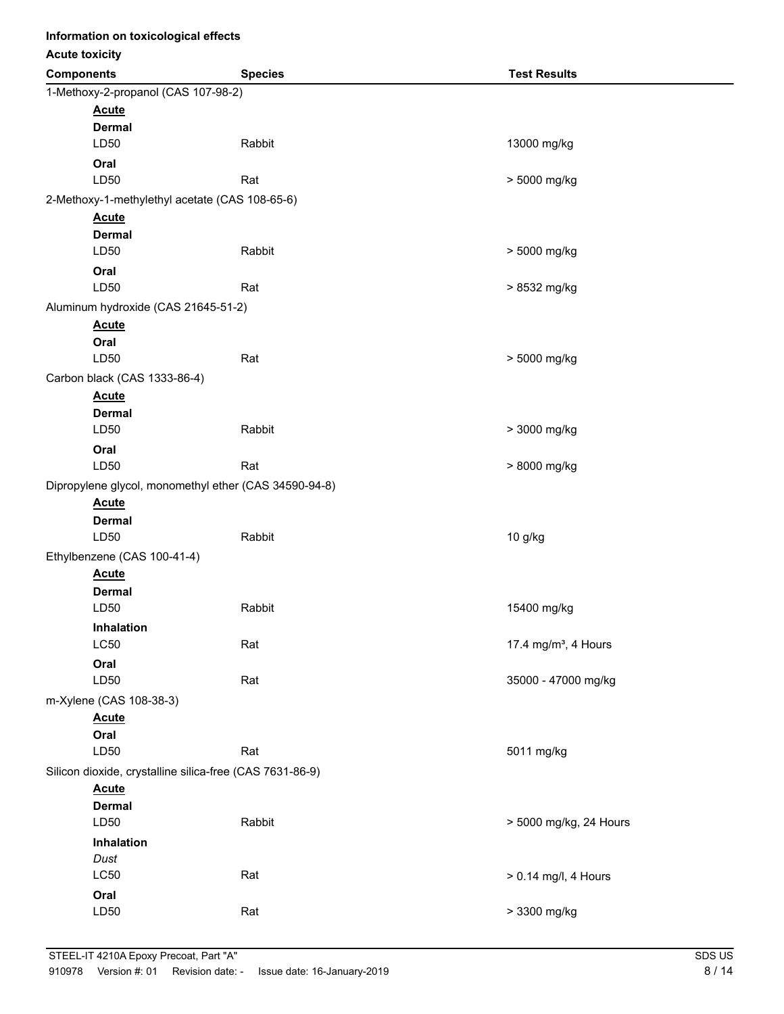| Information on toxicological effects |                                                                       |                |                                  |
|--------------------------------------|-----------------------------------------------------------------------|----------------|----------------------------------|
| <b>Acute toxicity</b>                |                                                                       |                |                                  |
| <b>Components</b>                    |                                                                       | <b>Species</b> | <b>Test Results</b>              |
|                                      | 1-Methoxy-2-propanol (CAS 107-98-2)                                   |                |                                  |
|                                      | <b>Acute</b>                                                          |                |                                  |
|                                      | <b>Dermal</b>                                                         |                |                                  |
|                                      | LD50                                                                  | Rabbit         | 13000 mg/kg                      |
|                                      | Oral                                                                  |                |                                  |
|                                      | LD50                                                                  | Rat            | > 5000 mg/kg                     |
|                                      | 2-Methoxy-1-methylethyl acetate (CAS 108-65-6)                        |                |                                  |
|                                      | <b>Acute</b>                                                          |                |                                  |
|                                      | <b>Dermal</b>                                                         |                |                                  |
|                                      | LD50                                                                  | Rabbit         | > 5000 mg/kg                     |
|                                      | Oral                                                                  |                |                                  |
|                                      | LD50                                                                  | Rat            | > 8532 mg/kg                     |
|                                      | Aluminum hydroxide (CAS 21645-51-2)                                   |                |                                  |
|                                      | <b>Acute</b>                                                          |                |                                  |
|                                      | Oral                                                                  |                |                                  |
|                                      | LD50                                                                  | Rat            | > 5000 mg/kg                     |
|                                      | Carbon black (CAS 1333-86-4)                                          |                |                                  |
|                                      | <b>Acute</b>                                                          |                |                                  |
|                                      | <b>Dermal</b><br>LD50                                                 | Rabbit         | > 3000 mg/kg                     |
|                                      |                                                                       |                |                                  |
|                                      | Oral<br>LD50                                                          | Rat            | > 8000 mg/kg                     |
|                                      |                                                                       |                |                                  |
|                                      | Dipropylene glycol, monomethyl ether (CAS 34590-94-8)<br><b>Acute</b> |                |                                  |
|                                      | <b>Dermal</b>                                                         |                |                                  |
|                                      | LD50                                                                  | Rabbit         | 10 g/kg                          |
|                                      | Ethylbenzene (CAS 100-41-4)                                           |                |                                  |
|                                      | <b>Acute</b>                                                          |                |                                  |
|                                      | <b>Dermal</b>                                                         |                |                                  |
|                                      | LD50                                                                  | Rabbit         | 15400 mg/kg                      |
|                                      | Inhalation                                                            |                |                                  |
|                                      | <b>LC50</b>                                                           | Rat            | 17.4 mg/m <sup>3</sup> , 4 Hours |
|                                      | Oral                                                                  |                |                                  |
|                                      | LD50                                                                  | Rat            | 35000 - 47000 mg/kg              |
|                                      | m-Xylene (CAS 108-38-3)                                               |                |                                  |
|                                      | <b>Acute</b>                                                          |                |                                  |
|                                      | Oral                                                                  |                |                                  |
|                                      | LD50                                                                  | Rat            | 5011 mg/kg                       |
|                                      | Silicon dioxide, crystalline silica-free (CAS 7631-86-9)              |                |                                  |
|                                      | <b>Acute</b>                                                          |                |                                  |
|                                      | <b>Dermal</b>                                                         |                |                                  |
|                                      | LD50                                                                  | Rabbit         | > 5000 mg/kg, 24 Hours           |
|                                      | Inhalation                                                            |                |                                  |
|                                      | Dust                                                                  |                |                                  |
|                                      | LC50                                                                  | Rat            | > 0.14 mg/l, 4 Hours             |
|                                      | Oral                                                                  |                |                                  |
|                                      | LD50                                                                  | Rat            | > 3300 mg/kg                     |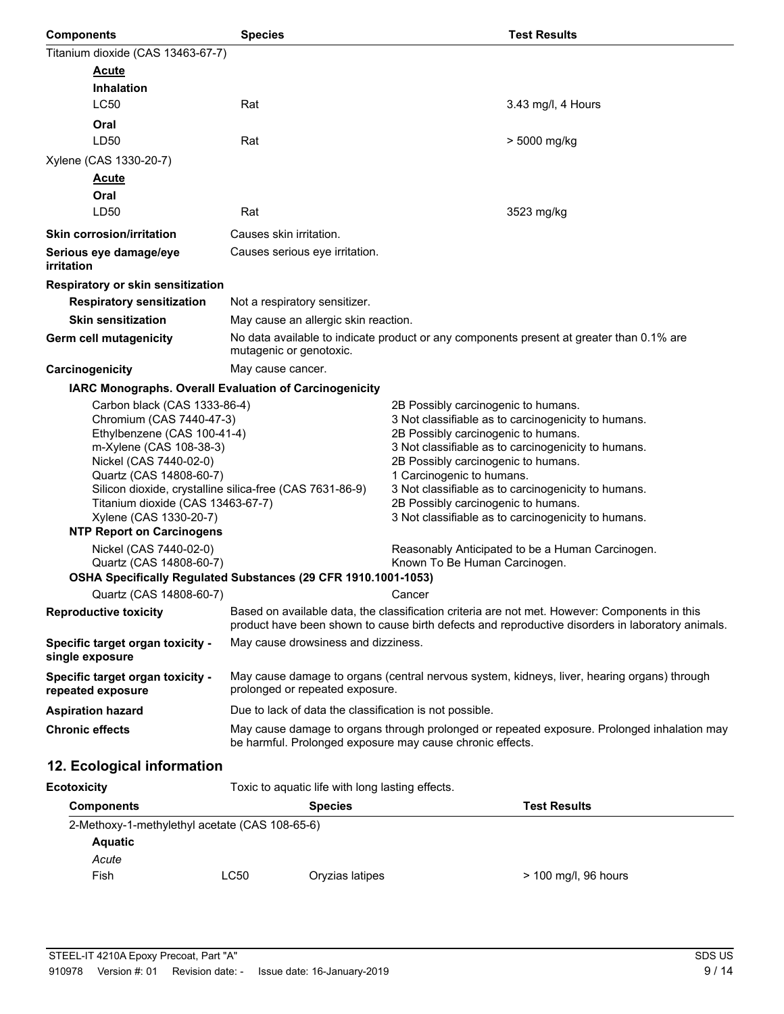| <b>Components</b>                                                                                                                                                                                                                                                                                                                      | <b>Species</b>                                                                                                                                                                                    | <b>Test Results</b>                                                                                                                                                                                                                                                                                                                                                                                               |  |  |
|----------------------------------------------------------------------------------------------------------------------------------------------------------------------------------------------------------------------------------------------------------------------------------------------------------------------------------------|---------------------------------------------------------------------------------------------------------------------------------------------------------------------------------------------------|-------------------------------------------------------------------------------------------------------------------------------------------------------------------------------------------------------------------------------------------------------------------------------------------------------------------------------------------------------------------------------------------------------------------|--|--|
| Titanium dioxide (CAS 13463-67-7)                                                                                                                                                                                                                                                                                                      |                                                                                                                                                                                                   |                                                                                                                                                                                                                                                                                                                                                                                                                   |  |  |
| <b>Acute</b>                                                                                                                                                                                                                                                                                                                           |                                                                                                                                                                                                   |                                                                                                                                                                                                                                                                                                                                                                                                                   |  |  |
| Inhalation                                                                                                                                                                                                                                                                                                                             |                                                                                                                                                                                                   |                                                                                                                                                                                                                                                                                                                                                                                                                   |  |  |
| LC50                                                                                                                                                                                                                                                                                                                                   | Rat                                                                                                                                                                                               | 3.43 mg/l, 4 Hours                                                                                                                                                                                                                                                                                                                                                                                                |  |  |
| Oral                                                                                                                                                                                                                                                                                                                                   |                                                                                                                                                                                                   |                                                                                                                                                                                                                                                                                                                                                                                                                   |  |  |
| LD50                                                                                                                                                                                                                                                                                                                                   | Rat                                                                                                                                                                                               | > 5000 mg/kg                                                                                                                                                                                                                                                                                                                                                                                                      |  |  |
| Xylene (CAS 1330-20-7)                                                                                                                                                                                                                                                                                                                 |                                                                                                                                                                                                   |                                                                                                                                                                                                                                                                                                                                                                                                                   |  |  |
| <u>Acute</u>                                                                                                                                                                                                                                                                                                                           |                                                                                                                                                                                                   |                                                                                                                                                                                                                                                                                                                                                                                                                   |  |  |
| Oral<br>LD50                                                                                                                                                                                                                                                                                                                           | Rat                                                                                                                                                                                               |                                                                                                                                                                                                                                                                                                                                                                                                                   |  |  |
|                                                                                                                                                                                                                                                                                                                                        |                                                                                                                                                                                                   | 3523 mg/kg                                                                                                                                                                                                                                                                                                                                                                                                        |  |  |
| <b>Skin corrosion/irritation</b>                                                                                                                                                                                                                                                                                                       | Causes skin irritation.                                                                                                                                                                           |                                                                                                                                                                                                                                                                                                                                                                                                                   |  |  |
| Serious eye damage/eye<br><i>irritation</i>                                                                                                                                                                                                                                                                                            | Causes serious eye irritation.                                                                                                                                                                    |                                                                                                                                                                                                                                                                                                                                                                                                                   |  |  |
| Respiratory or skin sensitization                                                                                                                                                                                                                                                                                                      |                                                                                                                                                                                                   |                                                                                                                                                                                                                                                                                                                                                                                                                   |  |  |
| <b>Respiratory sensitization</b>                                                                                                                                                                                                                                                                                                       | Not a respiratory sensitizer.                                                                                                                                                                     |                                                                                                                                                                                                                                                                                                                                                                                                                   |  |  |
| <b>Skin sensitization</b>                                                                                                                                                                                                                                                                                                              | May cause an allergic skin reaction.                                                                                                                                                              |                                                                                                                                                                                                                                                                                                                                                                                                                   |  |  |
| Germ cell mutagenicity                                                                                                                                                                                                                                                                                                                 | mutagenic or genotoxic.                                                                                                                                                                           | No data available to indicate product or any components present at greater than 0.1% are                                                                                                                                                                                                                                                                                                                          |  |  |
| Carcinogenicity                                                                                                                                                                                                                                                                                                                        | May cause cancer.                                                                                                                                                                                 |                                                                                                                                                                                                                                                                                                                                                                                                                   |  |  |
|                                                                                                                                                                                                                                                                                                                                        | IARC Monographs. Overall Evaluation of Carcinogenicity                                                                                                                                            |                                                                                                                                                                                                                                                                                                                                                                                                                   |  |  |
| Carbon black (CAS 1333-86-4)<br>Chromium (CAS 7440-47-3)<br>Ethylbenzene (CAS 100-41-4)<br>m-Xylene (CAS 108-38-3)<br>Nickel (CAS 7440-02-0)<br>Quartz (CAS 14808-60-7)<br>Silicon dioxide, crystalline silica-free (CAS 7631-86-9)<br>Titanium dioxide (CAS 13463-67-7)<br>Xylene (CAS 1330-20-7)<br><b>NTP Report on Carcinogens</b> |                                                                                                                                                                                                   | 2B Possibly carcinogenic to humans.<br>3 Not classifiable as to carcinogenicity to humans.<br>2B Possibly carcinogenic to humans.<br>3 Not classifiable as to carcinogenicity to humans.<br>2B Possibly carcinogenic to humans.<br>1 Carcinogenic to humans.<br>3 Not classifiable as to carcinogenicity to humans.<br>2B Possibly carcinogenic to humans.<br>3 Not classifiable as to carcinogenicity to humans. |  |  |
| Nickel (CAS 7440-02-0)<br>Quartz (CAS 14808-60-7)                                                                                                                                                                                                                                                                                      | OSHA Specifically Regulated Substances (29 CFR 1910.1001-1053)                                                                                                                                    | Reasonably Anticipated to be a Human Carcinogen.<br>Known To Be Human Carcinogen.                                                                                                                                                                                                                                                                                                                                 |  |  |
| Quartz (CAS 14808-60-7)                                                                                                                                                                                                                                                                                                                |                                                                                                                                                                                                   | Cancer                                                                                                                                                                                                                                                                                                                                                                                                            |  |  |
| <b>Reproductive toxicity</b>                                                                                                                                                                                                                                                                                                           | Based on available data, the classification criteria are not met. However: Components in this<br>product have been shown to cause birth defects and reproductive disorders in laboratory animals. |                                                                                                                                                                                                                                                                                                                                                                                                                   |  |  |
| Specific target organ toxicity -<br>single exposure                                                                                                                                                                                                                                                                                    | May cause drowsiness and dizziness.                                                                                                                                                               |                                                                                                                                                                                                                                                                                                                                                                                                                   |  |  |
| Specific target organ toxicity -<br>repeated exposure                                                                                                                                                                                                                                                                                  | May cause damage to organs (central nervous system, kidneys, liver, hearing organs) through<br>prolonged or repeated exposure.                                                                    |                                                                                                                                                                                                                                                                                                                                                                                                                   |  |  |
| <b>Aspiration hazard</b>                                                                                                                                                                                                                                                                                                               | Due to lack of data the classification is not possible.                                                                                                                                           |                                                                                                                                                                                                                                                                                                                                                                                                                   |  |  |
| <b>Chronic effects</b>                                                                                                                                                                                                                                                                                                                 | May cause damage to organs through prolonged or repeated exposure. Prolonged inhalation may<br>be harmful. Prolonged exposure may cause chronic effects.                                          |                                                                                                                                                                                                                                                                                                                                                                                                                   |  |  |
| 12. Ecological information                                                                                                                                                                                                                                                                                                             |                                                                                                                                                                                                   |                                                                                                                                                                                                                                                                                                                                                                                                                   |  |  |
| <b>Ecotoxicity</b>                                                                                                                                                                                                                                                                                                                     | Toxic to aquatic life with long lasting effects.                                                                                                                                                  |                                                                                                                                                                                                                                                                                                                                                                                                                   |  |  |
| <b>Components</b>                                                                                                                                                                                                                                                                                                                      | <b>Test Results</b><br><b>Species</b>                                                                                                                                                             |                                                                                                                                                                                                                                                                                                                                                                                                                   |  |  |
| 2. Mathovy 1. mathylathyl acatate (CAS 108.65.6)                                                                                                                                                                                                                                                                                       |                                                                                                                                                                                                   |                                                                                                                                                                                                                                                                                                                                                                                                                   |  |  |

| TEST LESUITS                                   |  |  |
|------------------------------------------------|--|--|
| 2-Methoxy-1-methylethyl acetate (CAS 108-65-6) |  |  |
|                                                |  |  |
|                                                |  |  |
| Oryzias latipes<br>> 100 mg/l, 96 hours        |  |  |
|                                                |  |  |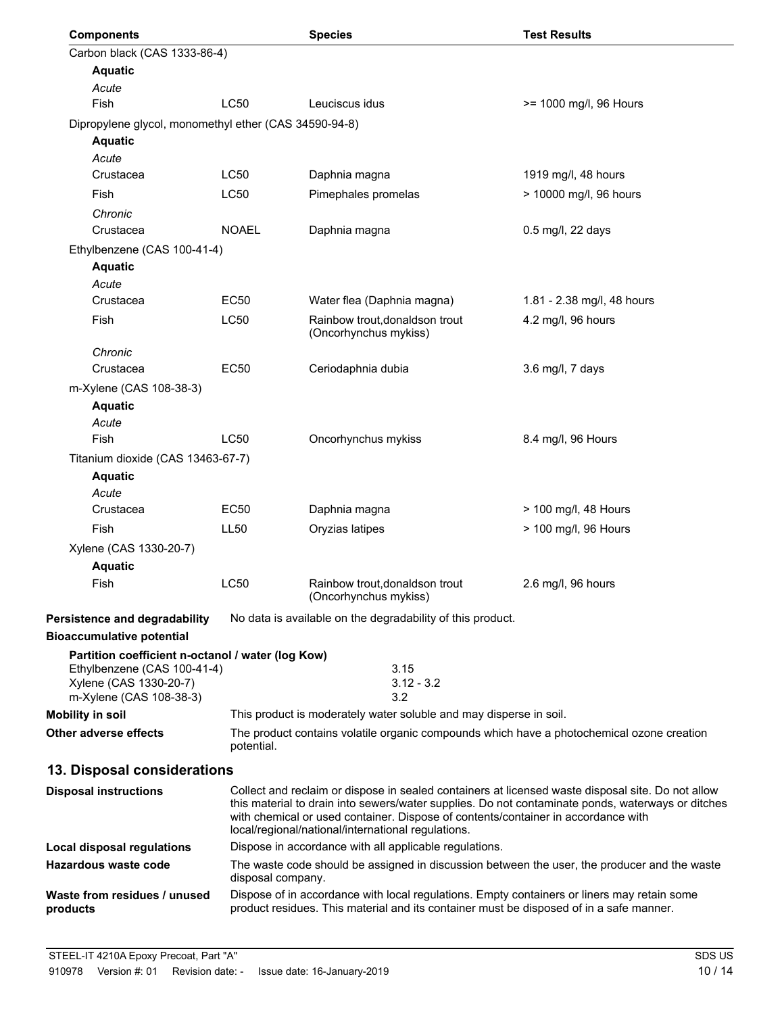| <b>Components</b>                                     |                  | <b>Species</b>                                                                                                                                                                                                                                                                                                                                    | <b>Test Results</b>                                                                       |
|-------------------------------------------------------|------------------|---------------------------------------------------------------------------------------------------------------------------------------------------------------------------------------------------------------------------------------------------------------------------------------------------------------------------------------------------|-------------------------------------------------------------------------------------------|
| Carbon black (CAS 1333-86-4)                          |                  |                                                                                                                                                                                                                                                                                                                                                   |                                                                                           |
| <b>Aquatic</b>                                        |                  |                                                                                                                                                                                                                                                                                                                                                   |                                                                                           |
| Acute                                                 |                  |                                                                                                                                                                                                                                                                                                                                                   |                                                                                           |
| Fish                                                  | LC50             | Leuciscus idus                                                                                                                                                                                                                                                                                                                                    | >= 1000 mg/l, 96 Hours                                                                    |
| Dipropylene glycol, monomethyl ether (CAS 34590-94-8) |                  |                                                                                                                                                                                                                                                                                                                                                   |                                                                                           |
| <b>Aquatic</b>                                        |                  |                                                                                                                                                                                                                                                                                                                                                   |                                                                                           |
| Acute                                                 |                  |                                                                                                                                                                                                                                                                                                                                                   |                                                                                           |
| Crustacea                                             | <b>LC50</b>      | Daphnia magna                                                                                                                                                                                                                                                                                                                                     | 1919 mg/l, 48 hours                                                                       |
| Fish                                                  | LC50             | Pimephales promelas                                                                                                                                                                                                                                                                                                                               | > 10000 mg/l, 96 hours                                                                    |
| Chronic<br>Crustacea                                  | <b>NOAEL</b>     | Daphnia magna                                                                                                                                                                                                                                                                                                                                     | 0.5 mg/l, 22 days                                                                         |
| Ethylbenzene (CAS 100-41-4)                           |                  |                                                                                                                                                                                                                                                                                                                                                   |                                                                                           |
| <b>Aquatic</b>                                        |                  |                                                                                                                                                                                                                                                                                                                                                   |                                                                                           |
| Acute                                                 |                  |                                                                                                                                                                                                                                                                                                                                                   |                                                                                           |
| Crustacea                                             | <b>EC50</b>      | Water flea (Daphnia magna)                                                                                                                                                                                                                                                                                                                        | 1.81 - 2.38 mg/l, 48 hours                                                                |
| Fish                                                  | LC50             | Rainbow trout, donaldson trout<br>(Oncorhynchus mykiss)                                                                                                                                                                                                                                                                                           | 4.2 mg/l, 96 hours                                                                        |
| Chronic                                               |                  |                                                                                                                                                                                                                                                                                                                                                   |                                                                                           |
| Crustacea                                             | <b>EC50</b>      | Ceriodaphnia dubia                                                                                                                                                                                                                                                                                                                                | 3.6 mg/l, 7 days                                                                          |
| m-Xylene (CAS 108-38-3)                               |                  |                                                                                                                                                                                                                                                                                                                                                   |                                                                                           |
| <b>Aquatic</b>                                        |                  |                                                                                                                                                                                                                                                                                                                                                   |                                                                                           |
| Acute                                                 |                  |                                                                                                                                                                                                                                                                                                                                                   |                                                                                           |
| <b>Fish</b>                                           | <b>LC50</b>      | Oncorhynchus mykiss                                                                                                                                                                                                                                                                                                                               | 8.4 mg/l, 96 Hours                                                                        |
| Titanium dioxide (CAS 13463-67-7)                     |                  |                                                                                                                                                                                                                                                                                                                                                   |                                                                                           |
| <b>Aquatic</b>                                        |                  |                                                                                                                                                                                                                                                                                                                                                   |                                                                                           |
| Acute                                                 |                  |                                                                                                                                                                                                                                                                                                                                                   |                                                                                           |
| Crustacea                                             | <b>EC50</b>      | Daphnia magna                                                                                                                                                                                                                                                                                                                                     | > 100 mg/l, 48 Hours                                                                      |
| Fish                                                  | LL <sub>50</sub> | Oryzias latipes                                                                                                                                                                                                                                                                                                                                   | > 100 mg/l, 96 Hours                                                                      |
| Xylene (CAS 1330-20-7)                                |                  |                                                                                                                                                                                                                                                                                                                                                   |                                                                                           |
| <b>Aquatic</b>                                        |                  |                                                                                                                                                                                                                                                                                                                                                   |                                                                                           |
| Fish                                                  | LC50             | Rainbow trout, donaldson trout<br>(Oncorhynchus mykiss)                                                                                                                                                                                                                                                                                           | 2.6 mg/l, 96 hours                                                                        |
| Persistence and degradability                         |                  | No data is available on the degradability of this product.                                                                                                                                                                                                                                                                                        |                                                                                           |
| <b>Bioaccumulative potential</b>                      |                  |                                                                                                                                                                                                                                                                                                                                                   |                                                                                           |
| Partition coefficient n-octanol / water (log Kow)     |                  |                                                                                                                                                                                                                                                                                                                                                   |                                                                                           |
| Ethylbenzene (CAS 100-41-4)                           |                  | 3.15                                                                                                                                                                                                                                                                                                                                              |                                                                                           |
| Xylene (CAS 1330-20-7)<br>m-Xylene (CAS 108-38-3)     |                  | $3.12 - 3.2$<br>3.2                                                                                                                                                                                                                                                                                                                               |                                                                                           |
| <b>Mobility in soil</b>                               |                  | This product is moderately water soluble and may disperse in soil.                                                                                                                                                                                                                                                                                |                                                                                           |
| Other adverse effects                                 |                  |                                                                                                                                                                                                                                                                                                                                                   | The product contains volatile organic compounds which have a photochemical ozone creation |
|                                                       | potential.       |                                                                                                                                                                                                                                                                                                                                                   |                                                                                           |
| 13. Disposal considerations                           |                  |                                                                                                                                                                                                                                                                                                                                                   |                                                                                           |
| <b>Disposal instructions</b>                          |                  | Collect and reclaim or dispose in sealed containers at licensed waste disposal site. Do not allow<br>this material to drain into sewers/water supplies. Do not contaminate ponds, waterways or ditches<br>with chemical or used container. Dispose of contents/container in accordance with<br>local/regional/national/international regulations. |                                                                                           |
| <b>Local disposal regulations</b>                     |                  | Dispose in accordance with all applicable regulations.                                                                                                                                                                                                                                                                                            |                                                                                           |
| Hazardous waste code                                  |                  | The waste code should be assigned in discussion between the user, the producer and the waste<br>disposal company.                                                                                                                                                                                                                                 |                                                                                           |
| Waste from residues / unused<br>products              |                  | Dispose of in accordance with local regulations. Empty containers or liners may retain some<br>product residues. This material and its container must be disposed of in a safe manner.                                                                                                                                                            |                                                                                           |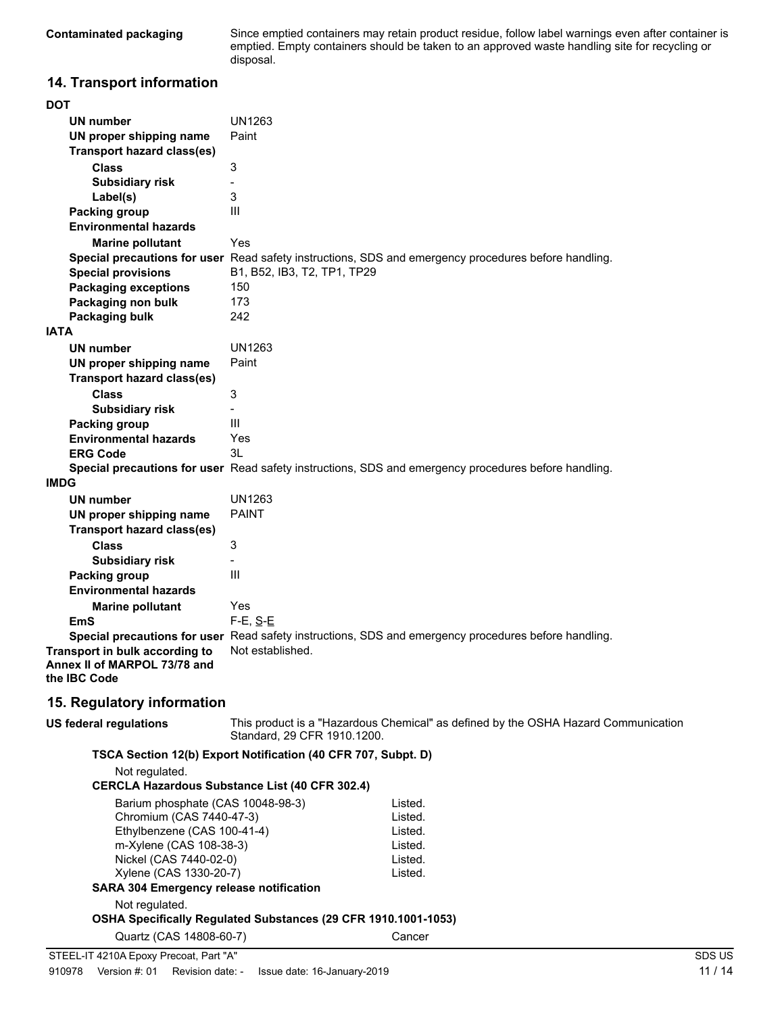Since emptied containers may retain product residue, follow label warnings even after container is emptied. Empty containers should be taken to an approved waste handling site for recycling or disposal.

## **14. Transport information**

| <b>DOT</b>                                                             |                                                                                                      |  |
|------------------------------------------------------------------------|------------------------------------------------------------------------------------------------------|--|
| UN number                                                              | <b>UN1263</b>                                                                                        |  |
| UN proper shipping name                                                | Paint                                                                                                |  |
| Transport hazard class(es)                                             |                                                                                                      |  |
| <b>Class</b>                                                           | 3                                                                                                    |  |
| <b>Subsidiary risk</b>                                                 |                                                                                                      |  |
| Label(s)                                                               | 3                                                                                                    |  |
| <b>Packing group</b>                                                   | III                                                                                                  |  |
| <b>Environmental hazards</b>                                           |                                                                                                      |  |
| <b>Marine pollutant</b>                                                | Yes                                                                                                  |  |
|                                                                        | Special precautions for user Read safety instructions, SDS and emergency procedures before handling. |  |
| <b>Special provisions</b>                                              | B1, B52, IB3, T2, TP1, TP29                                                                          |  |
| <b>Packaging exceptions</b>                                            | 150                                                                                                  |  |
| Packaging non bulk                                                     | 173                                                                                                  |  |
| Packaging bulk                                                         | 242                                                                                                  |  |
| <b>IATA</b>                                                            |                                                                                                      |  |
| <b>UN number</b>                                                       | <b>UN1263</b>                                                                                        |  |
| UN proper shipping name                                                | Paint                                                                                                |  |
| <b>Transport hazard class(es)</b>                                      |                                                                                                      |  |
| <b>Class</b>                                                           | 3                                                                                                    |  |
| <b>Subsidiary risk</b>                                                 | $\overline{\phantom{0}}$                                                                             |  |
| <b>Packing group</b>                                                   | III                                                                                                  |  |
| <b>Environmental hazards</b>                                           | Yes                                                                                                  |  |
| <b>ERG Code</b>                                                        | 3L                                                                                                   |  |
|                                                                        | Special precautions for user Read safety instructions, SDS and emergency procedures before handling. |  |
| <b>IMDG</b>                                                            |                                                                                                      |  |
| <b>UN number</b>                                                       | <b>UN1263</b>                                                                                        |  |
| UN proper shipping name                                                | <b>PAINT</b>                                                                                         |  |
| <b>Transport hazard class(es)</b>                                      |                                                                                                      |  |
| <b>Class</b>                                                           | 3                                                                                                    |  |
| <b>Subsidiary risk</b>                                                 | $\overline{a}$                                                                                       |  |
| <b>Packing group</b>                                                   | III                                                                                                  |  |
| <b>Environmental hazards</b>                                           |                                                                                                      |  |
| <b>Marine pollutant</b>                                                | Yes                                                                                                  |  |
| <b>EmS</b>                                                             | $F-E$ , $S-E$                                                                                        |  |
|                                                                        | Special precautions for user Read safety instructions, SDS and emergency procedures before handling. |  |
| Transport in bulk according to                                         | Not established.                                                                                     |  |
| Annex II of MARPOL 73/78 and                                           |                                                                                                      |  |
| the IBC Code                                                           |                                                                                                      |  |
| 15. Regulatory information                                             |                                                                                                      |  |
|                                                                        |                                                                                                      |  |
| <b>US federal regulations</b>                                          | This product is a "Hazardous Chemical" as defined by the OSHA Hazard Communication                   |  |
|                                                                        | Standard, 29 CFR 1910.1200.                                                                          |  |
|                                                                        | TSCA Section 12(b) Export Notification (40 CFR 707, Subpt. D)                                        |  |
| Not regulated.                                                         |                                                                                                      |  |
|                                                                        | <b>CERCLA Hazardous Substance List (40 CFR 302.4)</b>                                                |  |
| Barium phosphate (CAS 10048-98-3)                                      | Listed.                                                                                              |  |
| Chromium (CAS 7440-47-3)                                               | Listed.                                                                                              |  |
| Ethylbenzene (CAS 100-41-4)                                            | Listed.                                                                                              |  |
| m-Xylene (CAS 108-38-3)                                                | Listed.                                                                                              |  |
| Nickel (CAS 7440-02-0)<br>Listed.<br>Xylene (CAS 1330-20-7)<br>Listed. |                                                                                                      |  |
| <b>SARA 304 Emergency release notification</b>                         |                                                                                                      |  |
|                                                                        |                                                                                                      |  |
| Not regulated.                                                         | OSHA Specifically Regulated Substances (29 CFR 1910.1001-1053)                                       |  |
|                                                                        |                                                                                                      |  |
| Quartz (CAS 14808-60-7)                                                | Cancer                                                                                               |  |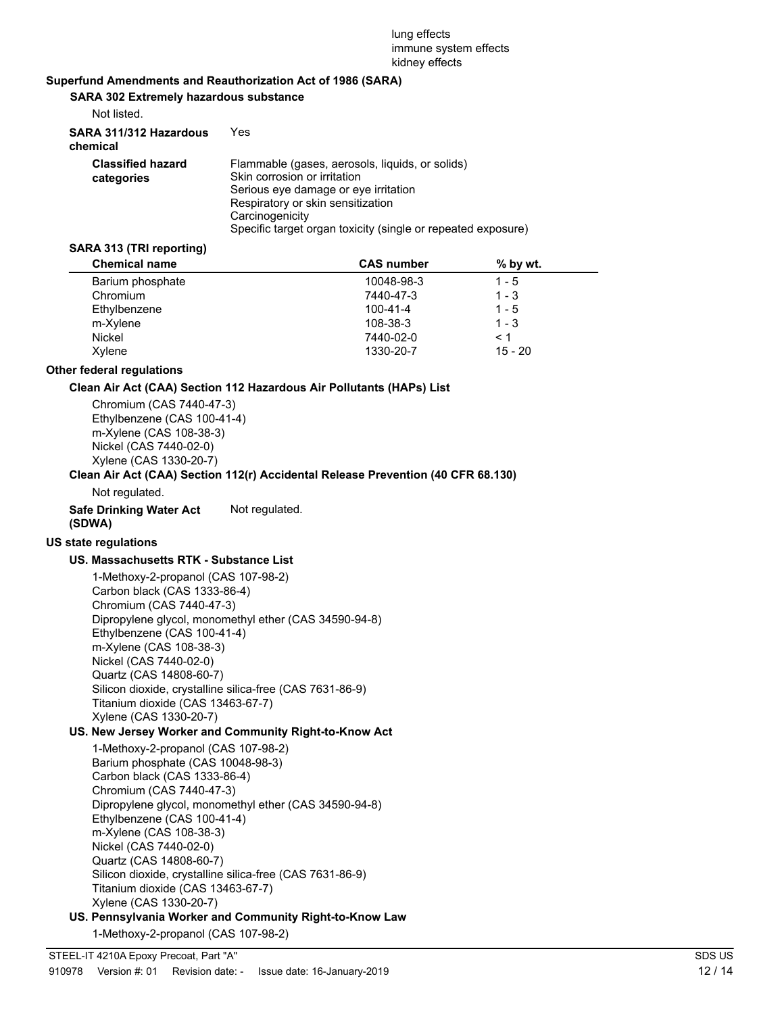#### lung effects immune system effects kidney effects

#### **Superfund Amendments and Reauthorization Act of 1986 (SARA)**

**SARA 302 Extremely hazardous substance**

| Not listed.                            |                                                                                                                                                                                                                                                 |
|----------------------------------------|-------------------------------------------------------------------------------------------------------------------------------------------------------------------------------------------------------------------------------------------------|
| SARA 311/312 Hazardous<br>chemical     | Yes                                                                                                                                                                                                                                             |
| <b>Classified hazard</b><br>categories | Flammable (gases, aerosols, liquids, or solids)<br>Skin corrosion or irritation<br>Serious eve damage or eve irritation<br>Respiratory or skin sensitization<br>Carcinogenicity<br>Specific target organ toxicity (single or repeated exposure) |

#### **SARA 313 (TRI reporting)**

| <b>Chemical name</b> | <b>CAS number</b> | $%$ by wt. |
|----------------------|-------------------|------------|
| Barium phosphate     | 10048-98-3        | 1 - 5      |
| Chromium             | 7440-47-3         | $1 - 3$    |
| Ethylbenzene         | 100-41-4          | $1 - 5$    |
| m-Xylene             | 108-38-3          | $1 - 3$    |
| Nickel               | 7440-02-0         | < 1        |
| Xylene               | 1330-20-7         | $15 - 20$  |

#### **Other federal regulations**

#### **Clean Air Act (CAA) Section 112 Hazardous Air Pollutants (HAPs) List**

Chromium (CAS 7440-47-3) Ethylbenzene (CAS 100-41-4) m-Xylene (CAS 108-38-3) Nickel (CAS 7440-02-0) Xylene (CAS 1330-20-7)

#### **Clean Air Act (CAA) Section 112(r) Accidental Release Prevention (40 CFR 68.130)**

Not regulated.

**Safe Drinking Water Act** Not regulated. **(SDWA)**

## **US state regulations**

#### **US. Massachusetts RTK - Substance List**

1-Methoxy-2-propanol (CAS 107-98-2) Carbon black (CAS 1333-86-4) Chromium (CAS 7440-47-3) Dipropylene glycol, monomethyl ether (CAS 34590-94-8) Ethylbenzene (CAS 100-41-4) m-Xylene (CAS 108-38-3) Nickel (CAS 7440-02-0) Quartz (CAS 14808-60-7) Silicon dioxide, crystalline silica-free (CAS 7631-86-9) Titanium dioxide (CAS 13463-67-7) Xylene (CAS 1330-20-7)

#### **US. New Jersey Worker and Community Right-to-Know Act**

1-Methoxy-2-propanol (CAS 107-98-2) Barium phosphate (CAS 10048-98-3) Carbon black (CAS 1333-86-4) Chromium (CAS 7440-47-3) Dipropylene glycol, monomethyl ether (CAS 34590-94-8) Ethylbenzene (CAS 100-41-4) m-Xylene (CAS 108-38-3) Nickel (CAS 7440-02-0) Quartz (CAS 14808-60-7) Silicon dioxide, crystalline silica-free (CAS 7631-86-9) Titanium dioxide (CAS 13463-67-7) Xylene (CAS 1330-20-7)

**US. Pennsylvania Worker and Community Right-to-Know Law**

1-Methoxy-2-propanol (CAS 107-98-2)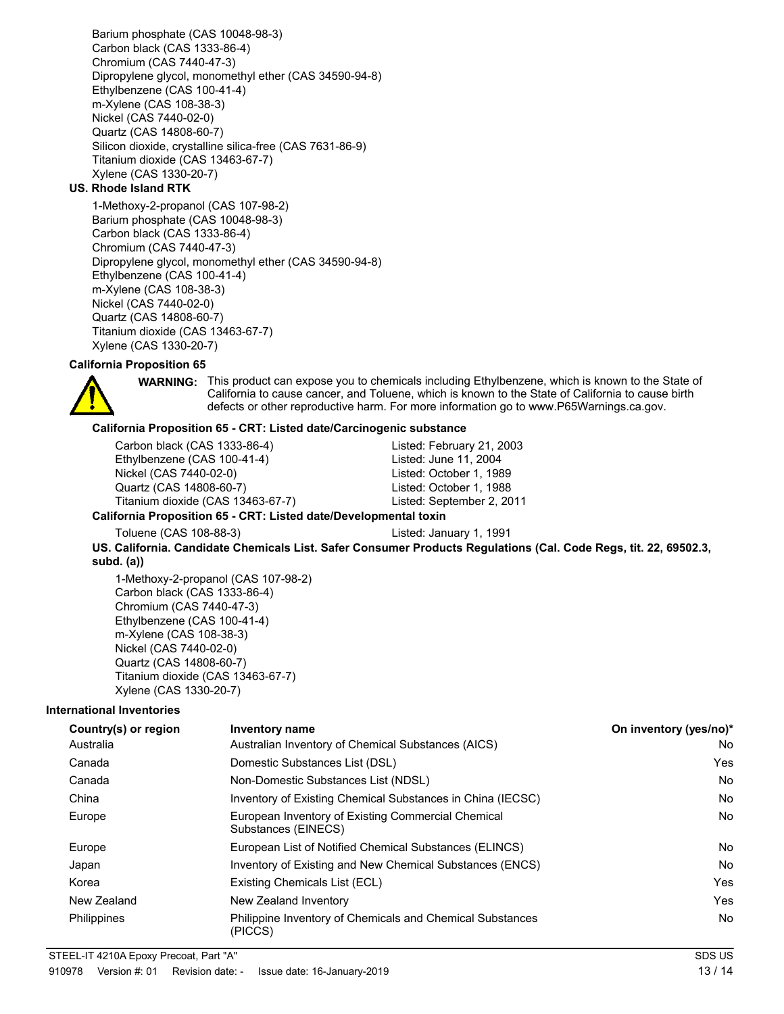Barium phosphate (CAS 10048-98-3) Carbon black (CAS 1333-86-4) Chromium (CAS 7440-47-3) Dipropylene glycol, monomethyl ether (CAS 34590-94-8) Ethylbenzene (CAS 100-41-4) m-Xylene (CAS 108-38-3) Nickel (CAS 7440-02-0) Quartz (CAS 14808-60-7) Silicon dioxide, crystalline silica-free (CAS 7631-86-9) Titanium dioxide (CAS 13463-67-7) Xylene (CAS 1330-20-7)

#### **US. Rhode Island RTK**

1-Methoxy-2-propanol (CAS 107-98-2) Barium phosphate (CAS 10048-98-3) Carbon black (CAS 1333-86-4) Chromium (CAS 7440-47-3) Dipropylene glycol, monomethyl ether (CAS 34590-94-8) Ethylbenzene (CAS 100-41-4) m-Xylene (CAS 108-38-3) Nickel (CAS 7440-02-0) Quartz (CAS 14808-60-7) Titanium dioxide (CAS 13463-67-7) Xylene (CAS 1330-20-7)

#### **California Proposition 65**



WARNING: This product can expose you to chemicals including Ethylbenzene, which is known to the State of California to cause cancer, and Toluene, which is known to the State of California to cause birth defects or other reproductive harm. For more information go to www.P65Warnings.ca.gov.

#### **California Proposition 65 - CRT: Listed date/Carcinogenic substance**

| Carbon black (CAS 1333-86-4)                                     | Listed: February 21, 2003 |  |
|------------------------------------------------------------------|---------------------------|--|
| Ethylbenzene (CAS 100-41-4)                                      | Listed: June 11, 2004     |  |
| Nickel (CAS 7440-02-0)                                           | Listed: October 1, 1989   |  |
| Quartz (CAS 14808-60-7)                                          | Listed: October 1, 1988   |  |
| Titanium dioxide (CAS 13463-67-7)                                | Listed: September 2, 2011 |  |
| California Proposition 65 - CRT: Listed date/Developmental toxin |                           |  |

Toluene (CAS 108-88-3) Listed: January 1, 1991

**US. California. Candidate Chemicals List. Safer Consumer Products Regulations (Cal. Code Regs, tit. 22, 69502.3, subd. (a))**

1-Methoxy-2-propanol (CAS 107-98-2) Carbon black (CAS 1333-86-4) Chromium (CAS 7440-47-3) Ethylbenzene (CAS 100-41-4) m-Xylene (CAS 108-38-3) Nickel (CAS 7440-02-0) Quartz (CAS 14808-60-7) Titanium dioxide (CAS 13463-67-7) Xylene (CAS 1330-20-7)

#### **International Inventories**

| Country(s) or region | <b>Inventory name</b>                                                     | On inventory (yes/no)* |
|----------------------|---------------------------------------------------------------------------|------------------------|
| Australia            | Australian Inventory of Chemical Substances (AICS)                        | No                     |
| Canada               | Domestic Substances List (DSL)                                            | Yes                    |
| Canada               | Non-Domestic Substances List (NDSL)                                       | No                     |
| China                | Inventory of Existing Chemical Substances in China (IECSC)                | No                     |
| Europe               | European Inventory of Existing Commercial Chemical<br>Substances (EINECS) | No                     |
| Europe               | European List of Notified Chemical Substances (ELINCS)                    | No                     |
| Japan                | Inventory of Existing and New Chemical Substances (ENCS)                  | <b>No</b>              |
| Korea                | Existing Chemicals List (ECL)                                             | Yes                    |
| New Zealand          | New Zealand Inventory                                                     | Yes                    |
| Philippines          | Philippine Inventory of Chemicals and Chemical Substances<br>(PICCS)      | No                     |